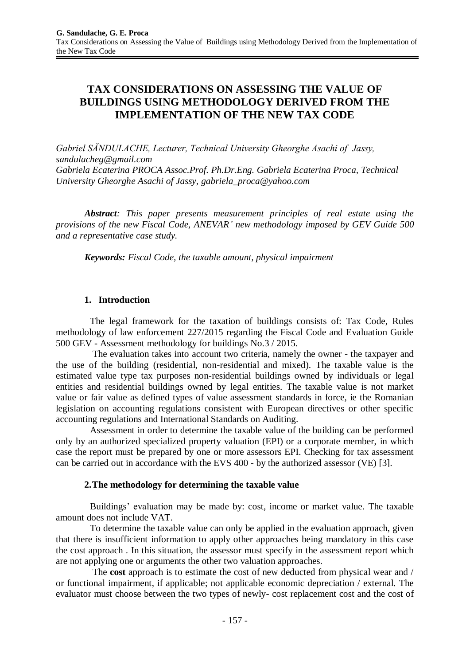# **TAX CONSIDERATIONS ON ASSESSING THE VALUE OF BUILDINGS USING METHODOLOGY DERIVED FROM THE IMPLEMENTATION OF THE NEW TAX CODE**

*Gabriel SĂNDULACHE, Lecturer, Technical University Gheorghe Asachi of Jassy, [sandulacheg@gmail.com](mailto:sandulacheg@gmail.com) Gabriela Ecaterina PROCA Assoc.Prof. Ph.Dr.Eng. Gabriela Ecaterina Proca, Technical University Gheorghe Asachi of Jassy, [gabriela\\_proca@yahoo.com](mailto:gabriela_proca@yahoo.com)*

*Abstract: This paper presents measurement principles of real estate using the provisions of the new Fiscal Code, ANEVAR' new methodology imposed by GEV Guide 500 and a representative case study.*

*Keywords: Fiscal Code, the taxable amount, physical impairment*

### **1. Introduction**

The legal framework for the taxation of buildings consists of: Tax Code, Rules methodology of law enforcement 227/2015 regarding the Fiscal Code and Evaluation Guide 500 GEV - Assessment methodology for buildings No.3 / 2015.

The evaluation takes into account two criteria, namely the owner - the taxpayer and the use of the building (residential, non-residential and mixed). The taxable value is the estimated value type tax purposes non-residential buildings owned by individuals or legal entities and residential buildings owned by legal entities. The taxable value is not market value or fair value as defined types of value assessment standards in force, ie the Romanian legislation on accounting regulations consistent with European directives or other specific accounting regulations and International Standards on Auditing.

Assessment in order to determine the taxable value of the building can be performed only by an authorized specialized property valuation (EPI) or a corporate member, in which case the report must be prepared by one or more assessors EPI. Checking for tax assessment can be carried out in accordance with the EVS 400 - by the authorized assessor (VE) [3].

### **2.The methodology for determining the taxable value**

Buildings' evaluation may be made by: cost, income or market value. The taxable amount does not include VAT.

To determine the taxable value can only be applied in the evaluation approach, given that there is insufficient information to apply other approaches being mandatory in this case the cost approach . In this situation, the assessor must specify in the assessment report which are not applying one or arguments the other two valuation approaches.

The **cost** approach is to estimate the cost of new deducted from physical wear and / or functional impairment, if applicable; not applicable economic depreciation / external. The evaluator must choose between the two types of newly- cost replacement cost and the cost of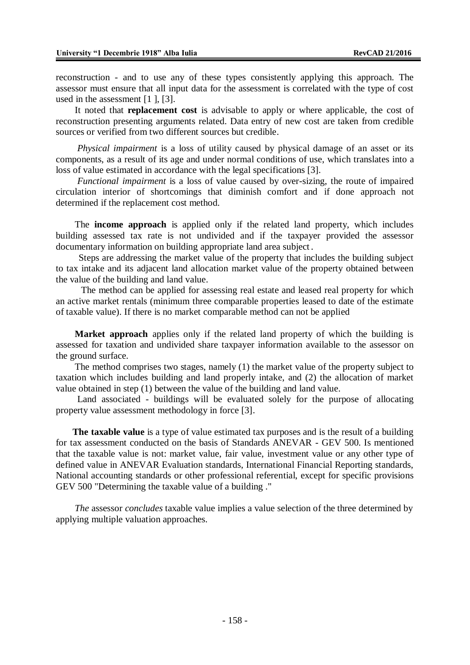reconstruction - and to use any of these types consistently applying this approach. The assessor must ensure that all input data for the assessment is correlated with the type of cost used in the assessment [1 ], [3].

It noted that **replacement cost** is advisable to apply or where applicable, the cost of reconstruction presenting arguments related. Data entry of new cost are taken from credible sources or verified from two different sources but credible.

*Physical impairment* is a loss of utility caused by physical damage of an asset or its components, as a result of its age and under normal conditions of use, which translates into a loss of value estimated in accordance with the legal specifications [3].

*Functional impairment* is a loss of value caused by over-sizing, the route of impaired circulation interior of shortcomings that diminish comfort and if done approach not determined if the replacement cost method.

The **income approach** is applied only if the related land property, which includes building assessed tax rate is not undivided and if the taxpayer provided the assessor documentary information on building appropriate land area subject.

Steps are addressing the market value of the property that includes the building subject to tax intake and its adjacent land allocation market value of the property obtained between the value of the building and land value.

The method can be applied for assessing real estate and leased real property for which an active market rentals (minimum three comparable properties leased to date of the estimate of taxable value). If there is no market comparable method can not be applied

**Market approach** applies only if the related land property of which the building is assessed for taxation and undivided share taxpayer information available to the assessor on the ground surface.

The method comprises two stages, namely (1) the market value of the property subject to taxation which includes building and land properly intake, and (2) the allocation of market value obtained in step (1) between the value of the building and land value.

Land associated - buildings will be evaluated solely for the purpose of allocating property value assessment methodology in force [3].

 **The taxable value** is a type of value estimated tax purposes and is the result of a building for tax assessment conducted on the basis of Standards ANEVAR - GEV 500. Is mentioned that the taxable value is not: market value, fair value, investment value or any other type of defined value in ANEVAR Evaluation standards, International Financial Reporting standards, National accounting standards or other professional referential, except for specific provisions GEV 500 "Determining the taxable value of a building ."

*The* assessor *concludes* taxable value implies a value selection of the three determined by applying multiple valuation approaches.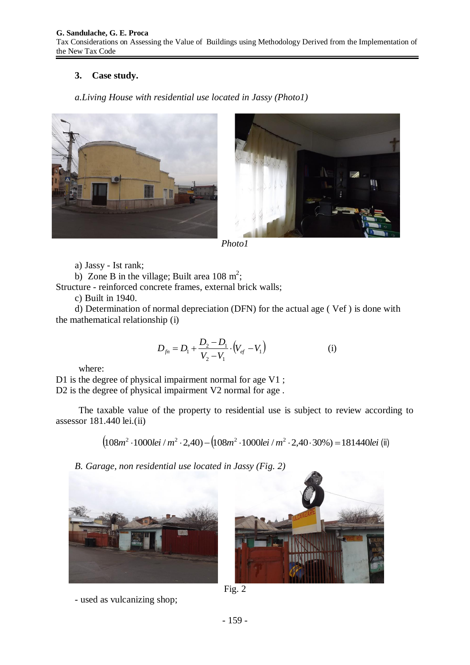# **3. Case study.**

## *a.Living House with residential use located in Jassy (Photo1)*





*Photo1*

a) Jassy - Ist rank;

b) Zone B in the village; Built area  $108 \text{ m}^2$ ;

Structure - reinforced concrete frames, external brick walls;

c) Built in 1940.

d) Determination of normal depreciation (DFN) for the actual age ( Vef ) is done with the mathematical relationship (i)

$$
D_{f_n} = D_1 + \frac{D_2 - D_1}{V_2 - V_1} \cdot (V_{ef} - V_1)
$$
 (i)

where:

D1 is the degree of physical impairment normal for age V1 ; D2 is the degree of physical impairment V2 normal for age.

The taxable value of the property to residential use is subject to review according to assessor 181.440 lei.(ii)

 $(108m^2 \cdot 1000$ *lei* /  $m^2 \cdot 2,40) - (108m^2 \cdot 1000$ *lei* /  $m^2 \cdot 2,40 \cdot 30\%) = 181440$ *lei* (ii)

*B. Garage, non residential use located in Jassy (Fig. 2)*







Fig. 2